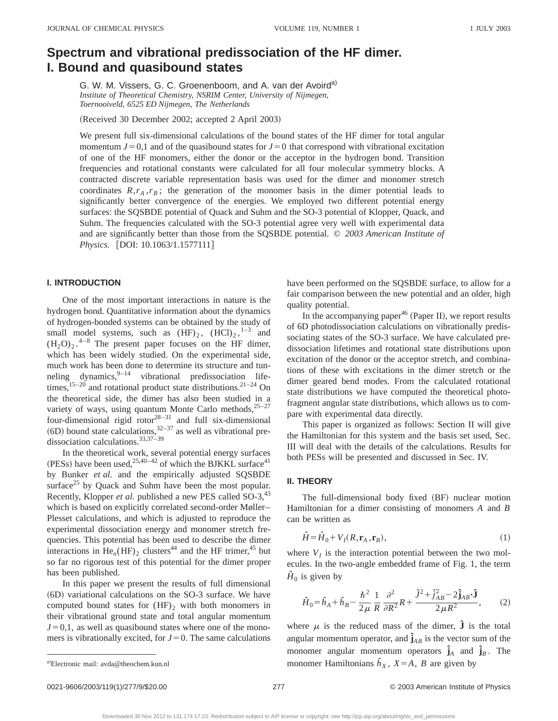# **Spectrum and vibrational predissociation of the HF dimer. I. Bound and quasibound states**

G. W. M. Vissers, G. C. Groenenboom, and A. van der Avoird<sup>a)</sup> *Institute of Theoretical Chemistry, NSRIM Center, University of Nijmegen, Toernooiveld, 6525 ED Nijmegen, The Netherlands*

(Received 30 December 2002; accepted 2 April 2003)

We present full six-dimensional calculations of the bound states of the HF dimer for total angular momentum  $J=0.1$  and of the quasibound states for  $J=0$  that correspond with vibrational excitation of one of the HF monomers, either the donor or the acceptor in the hydrogen bond. Transition frequencies and rotational constants were calculated for all four molecular symmetry blocks. A contracted discrete variable representation basis was used for the dimer and monomer stretch coordinates  $R, r_A, r_B$ ; the generation of the monomer basis in the dimer potential leads to significantly better convergence of the energies. We employed two different potential energy surfaces: the SQSBDE potential of Quack and Suhm and the SO-3 potential of Klopper, Quack, and Suhm. The frequencies calculated with the SO-3 potential agree very well with experimental data and are significantly better than those from the SQSBDE potential. © *2003 American Institute of Physics.* [DOI: 10.1063/1.1577111]

## **I. INTRODUCTION**

One of the most important interactions in nature is the hydrogen bond. Quantitative information about the dynamics of hydrogen-bonded systems can be obtained by the study of small model systems, such as  $(HF)_2$ ,  $(HCl)_2$ ,  $^{1-3}$  and  $(H_2O)_2$ .<sup>4-8</sup> The present paper focuses on the HF dimer, which has been widely studied. On the experimental side, much work has been done to determine its structure and tunneling dynamics,  $9-14$  vibrational predissociation lifetimes,<sup>15–20</sup> and rotational product state distributions.<sup>21–24</sup> On the theoretical side, the dimer has also been studied in a variety of ways, using quantum Monte Carlo methods, $25-27$ four-dimensional rigid rotor $28-31$  and full six-dimensional  $(6D)$  bound state calculations,<sup>32–37</sup> as well as vibrational predissociation calculations.33,37–39

In the theoretical work, several potential energy surfaces (PESs) have been used,  $^{25,40-42}$  of which the BJKKL surface<sup>41</sup> by Bunker *et al.* and the empirically adjusted SQSBDE surface $25$  by Quack and Suhm have been the most popular. Recently, Klopper *et al.* published a new PES called SO-3,<sup>43</sup> which is based on explicitly correlated second-order Møller– Plesset calculations, and which is adjusted to reproduce the experimental dissociation energy and monomer stretch frequencies. This potential has been used to describe the dimer interactions in  $He_n(HF)_2$  clusters<sup>44</sup> and the HF trimer,<sup>45</sup> but so far no rigorous test of this potential for the dimer proper has been published.

In this paper we present the results of full dimensional ~6D! variational calculations on the SO-3 surface. We have computed bound states for  $(HF)$ <sub>2</sub> with both monomers in their vibrational ground state and total angular momentum  $J=0,1$ , as well as quasibound states where one of the monomers is vibrationally excited, for  $J=0$ . The same calculations have been performed on the SQSBDE surface, to allow for a fair comparison between the new potential and an older, high quality potential.

In the accompanying paper<sup>46</sup> (Paper II), we report results of 6D photodissociation calculations on vibrationally predissociating states of the SO-3 surface. We have calculated predissociation lifetimes and rotational state distributions upon excitation of the donor or the acceptor stretch, and combinations of these with excitations in the dimer stretch or the dimer geared bend modes. From the calculated rotational state distributions we have computed the theoretical photofragment angular state distributions, which allows us to compare with experimental data directly.

This paper is organized as follows: Section II will give the Hamiltonian for this system and the basis set used, Sec. III will deal with the details of the calculations. Results for both PESs will be presented and discussed in Sec. IV.

#### **II. THEORY**

The full-dimensional body fixed (BF) nuclear motion Hamiltonian for a dimer consisting of monomers *A* and *B* can be written as

$$
\hat{H} = \hat{H}_0 + V_I(R, \mathbf{r}_A, \mathbf{r}_B),\tag{1}
$$

where  $V_I$  is the interaction potential between the two molecules. In the two-angle embedded frame of Fig. 1, the term  $\hat{H}_0$  is given by

$$
\hat{H}_0 = \hat{h}_A + \hat{h}_B - \frac{\hbar^2}{2\mu} \frac{1}{R} \frac{\partial^2}{\partial R^2} R + \frac{\hat{J}^2 + \hat{j}_{AB}^2 - 2\hat{\mathbf{j}}_{AB} \cdot \hat{\mathbf{j}}}{2\mu R^2},
$$
 (2)

where  $\mu$  is the reduced mass of the dimer,  $\hat{\mathbf{J}}$  is the total angular momentum operator, and  $\hat{\mathbf{j}}_{AB}$  is the vector sum of the monomer angular momentum operators  $\hat{\mathbf{j}}_A$  and  $\hat{\mathbf{j}}_B$ . The monomer Hamiltonians  $\hat{h}_X$ ,  $X = A$ , *B* are given by

a)Electronic mail: avda@theochem.kun.nl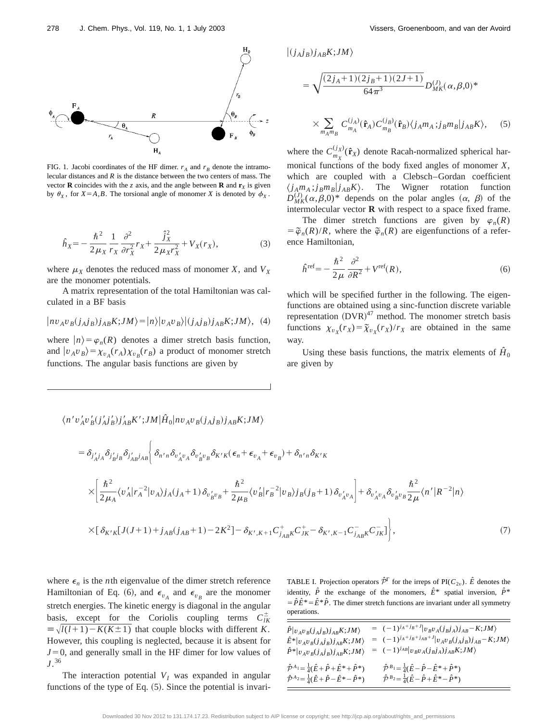

FIG. 1. Jacobi coordinates of the HF dimer.  $r_A$  and  $r_B$  denote the intramolecular distances and *R* is the distance between the two centers of mass. The vector **R** coincides with the *z* axis, and the angle between **R** and  $\mathbf{r}_x$  is given by  $\theta_X$ , for *X*=*A*,*B*. The torsional angle of monomer *X* is denoted by  $\phi_X$ .

$$
\hat{h}_X = -\frac{\hbar^2}{2\mu_X} \frac{1}{r_X} \frac{\partial^2}{\partial r_X^2} r_X + \frac{\hat{j}_X^2}{2\mu_X r_X^2} + V_X(r_X),\tag{3}
$$

where  $\mu_X$  denotes the reduced mass of monomer *X*, and  $V_X$ are the monomer potentials.

A matrix representation of the total Hamiltonian was calculated in a BF basis

$$
|nv_{A}v_{B}(j_{A}j_{B})j_{AB}K;JM\rangle=|n\rangle|v_{A}v_{B}\rangle|(j_{A}j_{B})j_{AB}K;JM\rangle, (4)
$$

where  $|n\rangle = \varphi_n(R)$  denotes a dimer stretch basis function, and  $|v_A v_B\rangle = \chi_{v_A}(r_A) \chi_{v_B}(r_B)$  a product of monomer stretch functions. The angular basis functions are given by

$$
\begin{aligned} |(j_{A}j_{B})j_{AB}K;JM\rangle\\ &= \sqrt{\frac{(2j_{A}+1)(2j_{B}+1)(2J+1)}{64\pi^{3}}}D_{MK}^{(J)}(\alpha,\beta,0)^{*}\\ &\times\sum_{m_{A}m_{B}}C_{m_{A}}^{(j_{A})}(\hat{\mathbf{r}}_{A})C_{m_{B}}^{(j_{B})}(\hat{\mathbf{r}}_{B})\langle j_{A}m_{A};j_{B}m_{B}|j_{AB}K\rangle, \end{aligned} \tag{5}
$$

where the  $C_{m_X}^{(j_X)}(\hat{\mathbf{r}}_X)$  denote Racah-normalized spherical harmonical functions of the body fixed angles of monomer *X*, which are coupled with a Clebsch–Gordan coefficient  $\langle j_A m_A ; j_B m_B | j_{AB} K \rangle$ . The Wigner rotation function  $D_{MK}^{(J)}(\alpha,\beta,0)^*$  depends on the polar angles  $(\alpha,\beta)$  of the intermolecular vector **R** with respect to a space fixed frame.

The dimer stretch functions are given by  $\varphi_n(R)$  $= \tilde{\varphi}_n(R)/R$ , where the  $\tilde{\varphi}_n(R)$  are eigenfunctions of a reference Hamiltonian,

$$
\hat{h}^{\text{ref}} = -\frac{\hbar^2}{2\mu} \frac{\partial^2}{\partial R^2} + V^{\text{ref}}(R),\tag{6}
$$

which will be specified further in the following. The eigenfunctions are obtained using a sinc-function discrete variable representation  $(DVR)^{47}$  method. The monomer stretch basis functions  $\chi_{v_X}(r_X) = \tilde{\chi}_{v_X}(r_X)/r_X$  are obtained in the same way.

Using these basis functions, the matrix elements of  $\hat{H}_0$ are given by

$$
\langle n'v'_{A}v'_{B}(j'_{A}j'_{B})j'_{AB}K';JM|\hat{H}_{0}|nv_{A}v_{B}(j_{A}j_{B})j_{AB}K;JM\rangle
$$
  
\n
$$
= \delta_{j'_{A}j_{A}}\delta_{j'_{B}j_{B}}\delta_{j'_{A}j_{A}j_{B}} \Biggl\{ \delta_{n'n}\delta_{v'_{A}v_{A}}\delta_{v'_{B}v_{B}}\delta_{K'K}(\epsilon_{n} + \epsilon_{v_{A}} + \epsilon_{v_{B}}) + \delta_{n'n}\delta_{K'K}
$$
  
\n
$$
\times \Biggl[ \frac{\hbar^{2}}{2\mu_{A}} \langle v'_{A}|r_{A}^{-2}|v_{A}\rangle j_{A}(j_{A} + 1) \delta_{v'_{B}v_{B}} + \frac{\hbar^{2}}{2\mu_{B}} \langle v'_{B}|r_{B}^{-2}|v_{B}\rangle j_{B}(j_{B} + 1) \delta_{v'_{A}v_{A}} \Biggr] + \delta_{v'_{A}v_{A}}\delta_{v'_{B}v_{B}}\frac{\hbar^{2}}{2\mu} \langle n'|R^{-2}|n\rangle
$$
  
\n
$$
\times \Bigl[ \delta_{K'K}[J(J+1) + j_{AB}(j_{AB} + 1) - 2K^{2}] - \delta_{K',K+1}C_{j_{AB}K}^{+}C_{JK}^{+} - \delta_{K',K-1}C_{j_{AB}K}^{-}C_{JK}^{-} \Bigr] \Biggr], \tag{7}
$$

where  $\epsilon_n$  is the *n*th eigenvalue of the dimer stretch reference Hamiltonian of Eq. (6), and  $\epsilon_{v_A}$  and  $\epsilon_{v_B}$  are the monomer stretch energies. The kinetic energy is diagonal in the angular basis, except for the Coriolis coupling terms  $C_{lK}^{\pm}$  $\equiv \sqrt{l(l+1)-K(K\pm 1)}$  that couple blocks with different *K*. However, this coupling is neglected, because it is absent for  $J=0$ , and generally small in the HF dimer for low values of *J*. 36

The interaction potential  $V_I$  was expanded in angular functions of the type of Eq.  $(5)$ . Since the potential is invariTABLE I. Projection operators  $\hat{\mathcal{P}}^{\Gamma}$  for the irreps of PI( $C_{2v}$ ).  $\hat{E}$  denotes the identity,  $\hat{P}$  the exchange of the monomers,  $\hat{E}^*$  spatial inversion,  $\hat{P}^*$  $= \hat{P}\hat{E}^* = \hat{E}^*\hat{P}$ . The dimer stretch functions are invariant under all symmetry operations.

| $\hat{P} v_Av_B(j_Aj_B)j_{AB}K;JM\rangle$<br>$\hat{E}^* v_Av_B(j_Aj_B)j_{AB}K;JM\rangle$<br>$\hat{P}^* v_Av_B(j_Aj_B)j_{AB}K;JM\rangle$                                    | $= (-1)^{j_A + j_B + J} \vert v_B v_A(j_B j_A) j_{AB} - K; JM \rangle$<br>$= (-1)^{j_A + j_B + j_{AB} + J}  v_A v_B(j_A j_B)j_{AB} - K; JM \rangle$<br>$= (-1)^{j_{AB}}  v_B v_A (j_B j_A) j_{AB} K; JM \rangle$ |
|----------------------------------------------------------------------------------------------------------------------------------------------------------------------------|------------------------------------------------------------------------------------------------------------------------------------------------------------------------------------------------------------------|
| $\hat{\mathcal{P}}^{A_1} = \frac{1}{4} (\hat{E} + \hat{P} + \hat{E}^* + \hat{P}^*)$<br>$\hat{\mathcal{P}}^{A_2} = \frac{1}{4} (\hat{E} + \hat{P} - \hat{E}^* - \hat{P}^*)$ | $\hat{\mathcal{P}}^{B_1} = \frac{1}{4} (\hat{E} - \hat{P} - \hat{E}^* + \hat{P}^*)$<br>$\hat{\mathcal{P}}^{B_2} = \frac{1}{4} (\hat{E} - \hat{P} + \hat{E}^* - \hat{P}^*)$                                       |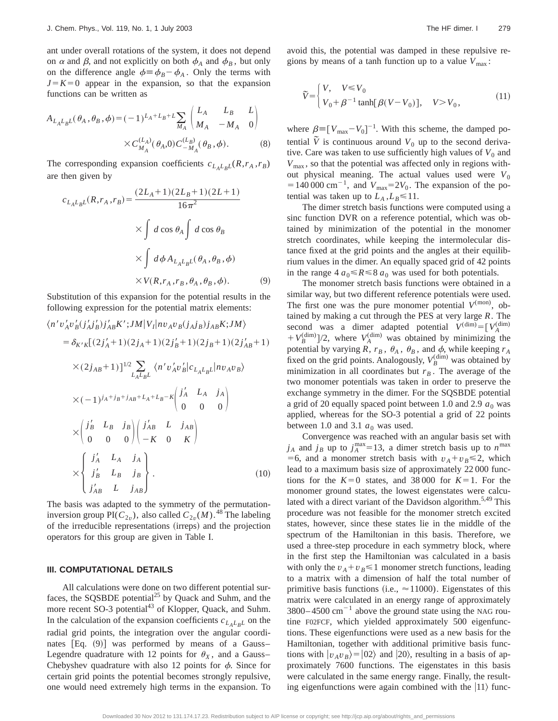ant under overall rotations of the system, it does not depend on  $\alpha$  and  $\beta$ , and not explicitly on both  $\phi_A$  and  $\phi_B$ , but only on the difference angle  $\phi = \phi_B - \phi_A$ . Only the terms with  $J=K=0$  appear in the expansion, so that the expansion functions can be written as

$$
A_{L_A L_B L}(\theta_A, \theta_B, \phi) = (-1)^{L_A + L_B + L} \sum_{M_A} \begin{pmatrix} L_A & L_B & L \\ M_A & -M_A & 0 \end{pmatrix}
$$

$$
\times C_{M_A}^{(L_A)}(\theta_A, 0) C_{-M_A}^{(L_B)}(\theta_B, \phi).
$$
 (8)

The corresponding expansion coefficients  $c_{L_A L_B L}(R, r_A, r_B)$ are then given by

$$
c_{L_A L_B L}(R, r_A, r_B) = \frac{(2L_A + 1)(2L_B + 1)(2L + 1)}{16\pi^2}
$$

$$
\times \int d\cos\theta_A \int d\cos\theta_B
$$

$$
\times \int d\phi A_{L_A L_B L}(\theta_A, \theta_B, \phi)
$$

$$
\times V(R, r_A, r_B, \theta_A, \theta_B, \phi).
$$
(9)

Substitution of this expansion for the potential results in the following expression for the potential matrix elements:

$$
\langle n'v'_{A}v'_{B}(j'_{A}j'_{B})j'_{AB}K';JM|V_{I}|nv_{A}v_{B}(j_{A}j_{B})j_{AB}K;JM\rangle
$$
  
\n
$$
= \delta_{K'K}[(2j'_{A} + 1)(2j_{A} + 1)(2j'_{B} + 1)(2j_{B} + 1)(2j'_{AB} + 1)
$$
  
\n
$$
\times (2j_{AB} + 1)]^{1/2} \sum_{L_{A}L_{B}L} \langle n'v'_{A}v'_{B}|c_{L_{A}L_{B}L}|nv_{A}v_{B}\rangle
$$
  
\n
$$
\times (-1)^{j_{A}+j_{B}+j_{AB}+L_{A}+L_{B}-K} \begin{pmatrix} j'_{A} & L_{A} & j_{A} \\ 0 & 0 & 0 \end{pmatrix}
$$
  
\n
$$
\times \begin{pmatrix} j'_{B} & L_{B} & j_{B} \\ 0 & 0 & 0 \end{pmatrix} \begin{pmatrix} j'_{AB} & L & j_{AB} \\ -K & 0 & K \end{pmatrix}
$$
  
\n
$$
\times \begin{pmatrix} j'_{A} & L_{A} & j_{A} \\ j'_{B} & L_{B} & j_{B} \\ j'_{AB} & L & j_{AB} \end{pmatrix}.
$$
 (10)

The basis was adapted to the symmetry of the permutationinversion group PI( $C_{2v}$ ), also called  $C_{2v}(M)$ .<sup>48</sup> The labeling of the irreducible representations (irreps) and the projection operators for this group are given in Table I.

## **III. COMPUTATIONAL DETAILS**

All calculations were done on two different potential surfaces, the SQSBDE potential<sup>25</sup> by Quack and Suhm, and the more recent SO-3 potential<sup>43</sup> of Klopper, Quack, and Suhm. In the calculation of the expansion coefficients  $c_{L_A L_B L}$  on the radial grid points, the integration over the angular coordinates  $[Eq. (9)]$  was performed by means of a Gauss– Legendre quadrature with 12 points for  $\theta_X$ , and a Gauss– Chebyshev quadrature with also 12 points for  $\phi$ . Since for certain grid points the potential becomes strongly repulsive, one would need extremely high terms in the expansion. To avoid this, the potential was damped in these repulsive regions by means of a tanh function up to a value  $V_{\text{max}}$ :

$$
\widetilde{V} = \begin{cases} V, & V \le V_0 \\ V_0 + \beta^{-1} \tanh[\beta(V - V_0)], & V > V_0, \end{cases}
$$
\n(11)

where  $\beta \equiv [V_{\text{max}}-V_0]^{-1}$ . With this scheme, the damped potential  $\tilde{V}$  is continuous around  $V_0$  up to the second derivative. Care was taken to use sufficiently high values of  $V_0$  and  $V_{\text{max}}$ , so that the potential was affected only in regions without physical meaning. The actual values used were  $V_0$  $=140000 \text{ cm}^{-1}$ , and  $V_{\text{max}}=2V_0$ . The expansion of the potential was taken up to  $L_A$ ,  $L_B \le 11$ .

The dimer stretch basis functions were computed using a sinc function DVR on a reference potential, which was obtained by minimization of the potential in the monomer stretch coordinates, while keeping the intermolecular distance fixed at the grid points and the angles at their equilibrium values in the dimer. An equally spaced grid of 42 points in the range  $4 a_0 \le R \le 8 a_0$  was used for both potentials.

The monomer stretch basis functions were obtained in a similar way, but two different reference potentials were used. The first one was the pure monomer potential  $V^{(mon)}$ , obtained by making a cut through the PES at very large *R*. The second was a dimer adapted potential  $V^{(\text{dim})} = [V_A^{(\text{dim})}]$  $+ V_B^{\text{(dim)}}$ ]/2, where  $V_A^{\text{(dim)}}$  was obtained by minimizing the potential by varying *R*,  $r_B$ ,  $\theta_A$ ,  $\theta_B$ , and  $\phi$ , while keeping  $r_A$ fixed on the grid points. Analogously,  $V_B^{\text{(dim)}}$  was obtained by minimization in all coordinates but  $r_B$ . The average of the two monomer potentials was taken in order to preserve the exchange symmetry in the dimer. For the SQSBDE potential a grid of 20 equally spaced point between 1.0 and 2.9  $a_0$  was applied, whereas for the SO-3 potential a grid of 22 points between 1.0 and 3.1  $a_0$  was used.

Convergence was reached with an angular basis set with  $j_A$  and  $j_B$  up to  $j_A^{\text{max}}=13$ , a dimer stretch basis up to  $n^{\text{max}}$ =6, and a monomer stretch basis with  $v_A + v_B \le 2$ , which lead to a maximum basis size of approximately 22 000 functions for the  $K=0$  states, and 38 000 for  $K=1$ . For the monomer ground states, the lowest eigenstates were calculated with a direct variant of the Davidson algorithm.<sup>5,49</sup> This procedure was not feasible for the monomer stretch excited states, however, since these states lie in the middle of the spectrum of the Hamiltonian in this basis. Therefore, we used a three-step procedure in each symmetry block, where in the first step the Hamiltonian was calculated in a basis with only the  $v_A + v_B \leq 1$  monomer stretch functions, leading to a matrix with a dimension of half the total number of primitive basis functions (i.e.,  $\approx$  11000). Eigenstates of this matrix were calculated in an energy range of approximately  $3800 - 4500$  cm<sup>-1</sup> above the ground state using the NAG routine F02FCF, which yielded approximately 500 eigenfunctions. These eigenfunctions were used as a new basis for the Hamiltonian, together with additional primitive basis functions with  $|v_A v_B\rangle = |02\rangle$  and  $|20\rangle$ , resulting in a basis of approximately 7600 functions. The eigenstates in this basis were calculated in the same energy range. Finally, the resulting eigenfunctions were again combined with the  $|11\rangle$  func-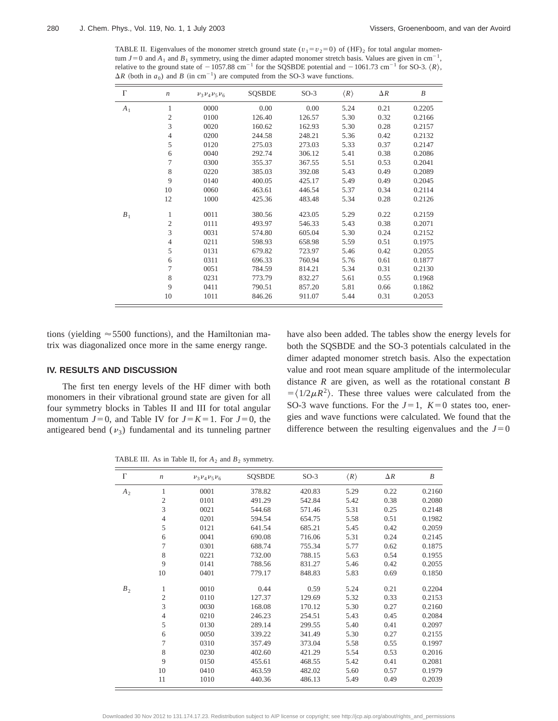TABLE II. Eigenvalues of the monomer stretch ground state ( $v_1 = v_2 = 0$ ) of (HF)<sub>2</sub> for total angular momentum  $J=0$  and  $A_1$  and  $B_1$  symmetry, using the dimer adapted monomer stretch basis. Values are given in cm<sup>-1</sup>, relative to the ground state of  $-1057.88$  cm<sup>-1</sup> for the SQSBDE potential and  $-1061.73$  cm<sup>-1</sup> for SO-3.  $\langle R \rangle$ ,  $\Delta R$  (both in *a*<sub>0</sub>) and *B* (in cm<sup>-1</sup>) are computed from the SO-3 wave functions.

| $\Gamma$ | $\boldsymbol{n}$ | $\nu_3 \nu_4 \nu_5 \nu_6$ | <b>SQSBDE</b> | $SO-3$ | $\langle R \rangle$ | $\Delta R$ | B      |
|----------|------------------|---------------------------|---------------|--------|---------------------|------------|--------|
| $A_1$    | 1                | 0000                      | 0.00          | 0.00   | 5.24                | 0.21       | 0.2205 |
|          | $\mathfrak{2}$   | 0100                      | 126.40        | 126.57 | 5.30                | 0.32       | 0.2166 |
|          | 3                | 0020                      | 160.62        | 162.93 | 5.30                | 0.28       | 0.2157 |
|          | $\overline{4}$   | 0200                      | 244.58        | 248.21 | 5.36                | 0.42       | 0.2132 |
|          | 5                | 0120                      | 275.03        | 273.03 | 5.33                | 0.37       | 0.2147 |
|          | 6                | 0040                      | 292.74        | 306.12 | 5.41                | 0.38       | 0.2086 |
|          | 7                | 0300                      | 355.37        | 367.55 | 5.51                | 0.53       | 0.2041 |
|          | $\,$ 8 $\,$      | 0220                      | 385.03        | 392.08 | 5.43                | 0.49       | 0.2089 |
|          | 9                | 0140                      | 400.05        | 425.17 | 5.49                | 0.49       | 0.2045 |
|          | 10               | 0060                      | 463.61        | 446.54 | 5.37                | 0.34       | 0.2114 |
|          | 12               | 1000                      | 425.36        | 483.48 | 5.34                | 0.28       | 0.2126 |
| $B_1$    | 1                | 0011                      | 380.56        | 423.05 | 5.29                | 0.22       | 0.2159 |
|          | $\mathfrak{2}$   | 0111                      | 493.97        | 546.33 | 5.43                | 0.38       | 0.2071 |
|          | 3                | 0031                      | 574.80        | 605.04 | 5.30                | 0.24       | 0.2152 |
|          | $\overline{4}$   | 0211                      | 598.93        | 658.98 | 5.59                | 0.51       | 0.1975 |
|          | 5                | 0131                      | 679.82        | 723.97 | 5.46                | 0.42       | 0.2055 |
|          | 6                | 0311                      | 696.33        | 760.94 | 5.76                | 0.61       | 0.1877 |
|          | $\tau$           | 0051                      | 784.59        | 814.21 | 5.34                | 0.31       | 0.2130 |
|          | 8                | 0231                      | 773.79        | 832.27 | 5.61                | 0.55       | 0.1968 |
|          | 9                | 0411                      | 790.51        | 857.20 | 5.81                | 0.66       | 0.1862 |
|          | 10               | 1011                      | 846.26        | 911.07 | 5.44                | 0.31       | 0.2053 |

tions (yielding  $\approx$  5500 functions), and the Hamiltonian matrix was diagonalized once more in the same energy range.

## **IV. RESULTS AND DISCUSSION**

The first ten energy levels of the HF dimer with both monomers in their vibrational ground state are given for all four symmetry blocks in Tables II and III for total angular momentum  $J=0$ , and Table IV for  $J=K=1$ . For  $J=0$ , the antigeared bend  $(v_3)$  fundamental and its tunneling partner have also been added. The tables show the energy levels for both the SQSBDE and the SO-3 potentials calculated in the dimer adapted monomer stretch basis. Also the expectation value and root mean square amplitude of the intermolecular distance *R* are given, as well as the rotational constant *B*  $=$   $\langle 1/2\mu R^2 \rangle$ . These three values were calculated from the SO-3 wave functions. For the  $J=1$ ,  $K=0$  states too, energies and wave functions were calculated. We found that the difference between the resulting eigenvalues and the  $J=0$ 

TABLE III. As in Table II, for  $A_2$  and  $B_2$  symmetry.

| $\Gamma$ | $\boldsymbol{n}$ | $v_3 v_4 v_5 v_6$ | <b>SQSBDE</b> | $SO-3$ | $\langle R \rangle$ | $\Delta R$ | $\boldsymbol{B}$ |
|----------|------------------|-------------------|---------------|--------|---------------------|------------|------------------|
| $A_{2}$  | 1                | 0001              | 378.82        | 420.83 | 5.29                | 0.22       | 0.2160           |
|          | $\sqrt{2}$       | 0101              | 491.29        | 542.84 | 5.42                | 0.38       | 0.2080           |
|          | 3                | 0021              | 544.68        | 571.46 | 5.31                | 0.25       | 0.2148           |
|          | $\overline{4}$   | 0201              | 594.54        | 654.75 | 5.58                | 0.51       | 0.1982           |
|          | 5                | 0121              | 641.54        | 685.21 | 5.45                | 0.42       | 0.2059           |
|          | 6                | 0041              | 690.08        | 716.06 | 5.31                | 0.24       | 0.2145           |
|          | 7                | 0301              | 688.74        | 755.34 | 5.77                | 0.62       | 0.1875           |
|          | 8                | 0221              | 732.00        | 788.15 | 5.63                | 0.54       | 0.1955           |
|          | 9                | 0141              | 788.56        | 831.27 | 5.46                | 0.42       | 0.2055           |
|          | 10               | 0401              | 779.17        | 848.83 | 5.83                | 0.69       | 0.1850           |
| $B_2$    | 1                | 0010              | 0.44          | 0.59   | 5.24                | 0.21       | 0.2204           |
|          | $\mathfrak{2}$   | 0110              | 127.37        | 129.69 | 5.32                | 0.33       | 0.2153           |
|          | 3                | 0030              | 168.08        | 170.12 | 5.30                | 0.27       | 0.2160           |
|          | 4                | 0210              | 246.23        | 254.51 | 5.43                | 0.45       | 0.2084           |
|          | 5                | 0130              | 289.14        | 299.55 | 5.40                | 0.41       | 0.2097           |
|          | 6                | 0050              | 339.22        | 341.49 | 5.30                | 0.27       | 0.2155           |
|          | 7                | 0310              | 357.49        | 373.04 | 5.58                | 0.55       | 0.1997           |
|          | 8                | 0230              | 402.60        | 421.29 | 5.54                | 0.53       | 0.2016           |
|          | 9                | 0150              | 455.61        | 468.55 | 5.42                | 0.41       | 0.2081           |
|          | 10               | 0410              | 463.59        | 482.02 | 5.60                | 0.57       | 0.1979           |
|          | 11               | 1010              | 440.36        | 486.13 | 5.49                | 0.49       | 0.2039           |

Downloaded 30 Nov 2012 to 131.174.17.23. Redistribution subject to AIP license or copyright; see http://jcp.aip.org/about/rights\_and\_permissions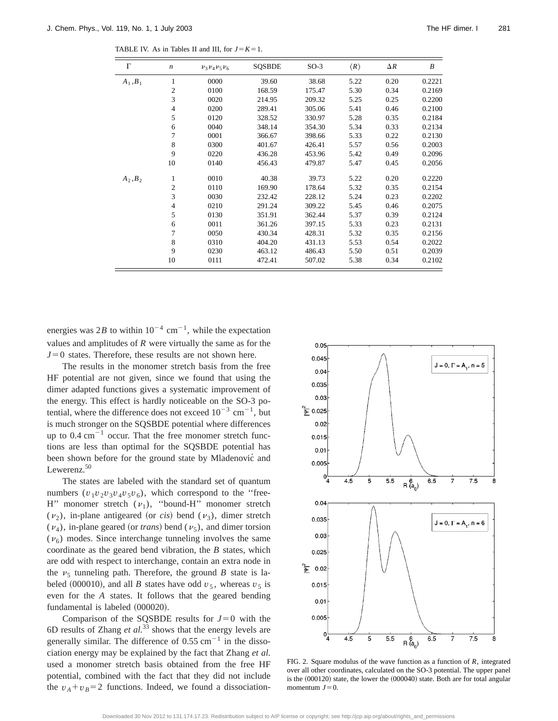TABLE IV. As in Tables II and III, for  $J = K = 1$ .

| $\Gamma$   | $\boldsymbol{n}$ | $v_3v_4v_5v_6$ | <b>SOSBDE</b> | $SO-3$ | $\langle R \rangle$ | $\Delta R$ | $\boldsymbol{B}$ |
|------------|------------------|----------------|---------------|--------|---------------------|------------|------------------|
| $A_1, B_1$ | 1                | 0000           | 39.60         | 38.68  | 5.22                | 0.20       | 0.2221           |
|            | 2                | 0100           | 168.59        | 175.47 | 5.30                | 0.34       | 0.2169           |
|            | 3                | 0020           | 214.95        | 209.32 | 5.25                | 0.25       | 0.2200           |
|            | $\overline{4}$   | 0200           | 289.41        | 305.06 | 5.41                | 0.46       | 0.2100           |
|            | 5                | 0120           | 328.52        | 330.97 | 5.28                | 0.35       | 0.2184           |
|            | 6                | 0040           | 348.14        | 354.30 | 5.34                | 0.33       | 0.2134           |
|            | 7                | 0001           | 366.67        | 398.66 | 5.33                | 0.22       | 0.2130           |
|            | 8                | 0300           | 401.67        | 426.41 | 5.57                | 0.56       | 0.2003           |
|            | 9                | 0220           | 436.28        | 453.96 | 5.42                | 0.49       | 0.2096           |
|            | 10               | 0140           | 456.43        | 479.87 | 5.47                | 0.45       | 0.2056           |
| $A_2, B_2$ | 1                | 0010           | 40.38         | 39.73  | 5.22                | 0.20       | 0.2220           |
|            | $\overline{2}$   | 0110           | 169.90        | 178.64 | 5.32                | 0.35       | 0.2154           |
|            | 3                | 0030           | 232.42        | 228.12 | 5.24                | 0.23       | 0.2202           |
|            | $\overline{4}$   | 0210           | 291.24        | 309.22 | 5.45                | 0.46       | 0.2075           |
|            | 5                | 0130           | 351.91        | 362.44 | 5.37                | 0.39       | 0.2124           |
|            | 6                | 0011           | 361.26        | 397.15 | 5.33                | 0.23       | 0.2131           |

7 0050 430.34 428.31 5.32 0.35 0.2156 8 0310 404.20 431.13 5.53 0.54 0.2022 9 0230 463.12 486.43 5.50 0.51 0.2039 10 0111 472.41 507.02 5.38 0.34 0.2102

energies was 2*B* to within  $10^{-4}$  cm<sup>-1</sup>, while the expectation values and amplitudes of *R* were virtually the same as for the  $J=0$  states. Therefore, these results are not shown here.

The results in the monomer stretch basis from the free HF potential are not given, since we found that using the dimer adapted functions gives a systematic improvement of the energy. This effect is hardly noticeable on the SO-3 potential, where the difference does not exceed  $10^{-3}$  cm<sup>-1</sup>, but is much stronger on the SQSBDE potential where differences up to  $0.4 \text{ cm}^{-1}$  occur. That the free monomer stretch functions are less than optimal for the SQSBDE potential has been shown before for the ground state by Mladenovic<sup> $\alpha$ </sup> and Lewerenz.<sup>50</sup>

The states are labeled with the standard set of quantum numbers  $(v_1v_2v_3v_4v_5v_6)$ , which correspond to the "free-H" monomer stretch  $(v_1)$ , "bound-H" monomer stretch  $(v_2)$ , in-plane antigeared (or *cis*) bend  $(v_3)$ , dimer stretch  $(\nu_4)$ , in-plane geared (or *trans*) bend ( $\nu_5$ ), and dimer torsion  $(v<sub>6</sub>)$  modes. Since interchange tunneling involves the same coordinate as the geared bend vibration, the *B* states, which are odd with respect to interchange, contain an extra node in the  $v<sub>5</sub>$  tunneling path. Therefore, the ground *B* state is labeled (000010), and all *B* states have odd  $v_5$ , whereas  $v_5$  is even for the *A* states. It follows that the geared bending fundamental is labeled  $(000020)$ .

Comparison of the SQSBDE results for  $J=0$  with the 6D results of Zhang *et al.*<sup>33</sup> shows that the energy levels are generally similar. The difference of  $0.55 \text{ cm}^{-1}$  in the dissociation energy may be explained by the fact that Zhang *et al.* used a monomer stretch basis obtained from the free HF potential, combined with the fact that they did not include the  $v_A + v_B = 2$  functions. Indeed, we found a dissociation-



FIG. 2. Square modulus of the wave function as a function of *R*, integrated over all other coordinates, calculated on the SO-3 potential. The upper panel is the  $(000120)$  state, the lower the  $(000040)$  state. Both are for total angular momentum  $J=0$ .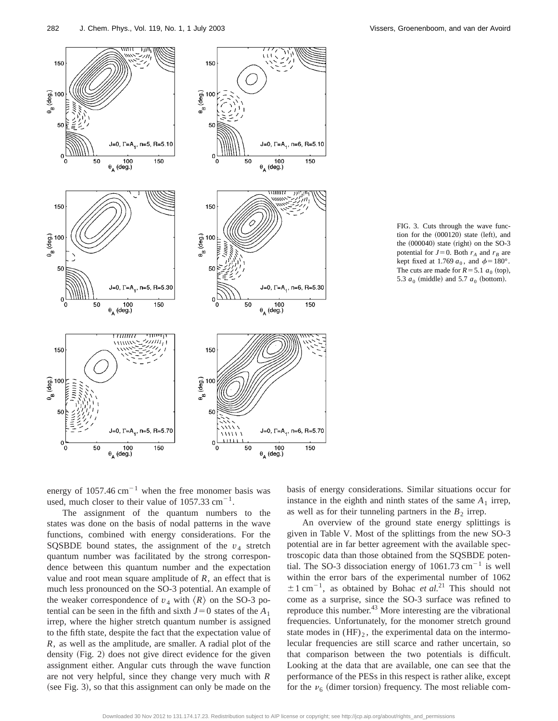

FIG. 3. Cuts through the wave function for the  $(000120)$  state  $(left)$ , and the  $(000040)$  state  $(right)$  on the SO-3 potential for  $J=0$ . Both  $r_A$  and  $r_B$  are kept fixed at 1.769  $a_0$ , and  $\phi = 180^\circ$ . The cuts are made for  $R = 5.1 a_0$  (top), 5.3  $a_0$  (middle) and 5.7  $a_0$  (bottom).

energy of  $1057.46 \text{ cm}^{-1}$  when the free monomer basis was used, much closer to their value of  $1057.33 \text{ cm}^{-1}$ .

The assignment of the quantum numbers to the states was done on the basis of nodal patterns in the wave functions, combined with energy considerations. For the SQSBDE bound states, the assignment of the  $v_4$  stretch quantum number was facilitated by the strong correspondence between this quantum number and the expectation value and root mean square amplitude of  $R$ , an effect that is much less pronounced on the SO-3 potential. An example of the weaker correspondence of  $v_4$  with  $\langle R \rangle$  on the SO-3 potential can be seen in the fifth and sixth  $J=0$  states of the  $A_1$ irrep, where the higher stretch quantum number is assigned to the fifth state, despite the fact that the expectation value of *R*, as well as the amplitude, are smaller. A radial plot of the density  $(Fig. 2)$  does not give direct evidence for the given assignment either. Angular cuts through the wave function are not very helpful, since they change very much with *R*  $(see Fig. 3)$ , so that this assignment can only be made on the basis of energy considerations. Similar situations occur for instance in the eighth and ninth states of the same  $A_1$  irrep, as well as for their tunneling partners in the  $B_2$  irrep.

An overview of the ground state energy splittings is given in Table V. Most of the splittings from the new SO-3 potential are in far better agreement with the available spectroscopic data than those obtained from the SQSBDE potential. The SO-3 dissociation energy of  $1061.73 \text{ cm}^{-1}$  is well within the error bars of the experimental number of 1062  $\pm 1$  cm<sup>-1</sup>, as obtained by Bohac *et al.*<sup>21</sup> This should not come as a surprise, since the SO-3 surface was refined to reproduce this number. $43$  More interesting are the vibrational frequencies. Unfortunately, for the monomer stretch ground state modes in  $(HF)_2$ , the experimental data on the intermolecular frequencies are still scarce and rather uncertain, so that comparison between the two potentials is difficult. Looking at the data that are available, one can see that the performance of the PESs in this respect is rather alike, except for the  $\nu_6$  (dimer torsion) frequency. The most reliable com-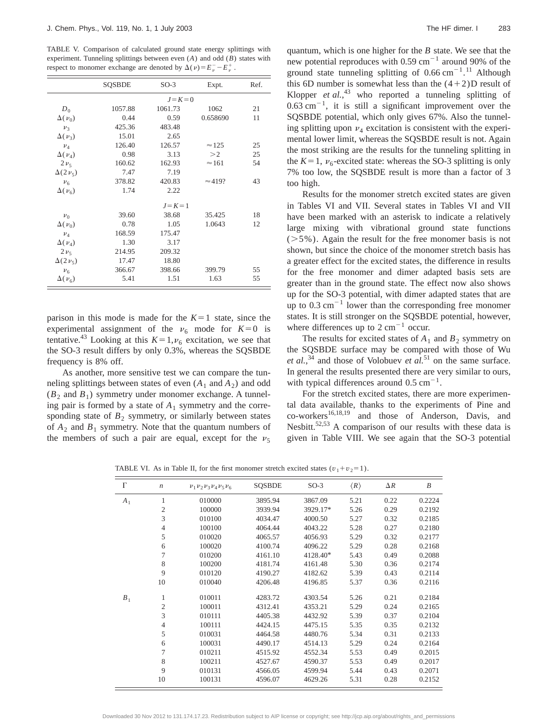TABLE V. Comparison of calculated ground state energy splittings with experiment. Tunneling splittings between even (*A*) and odd (*B*) states with respect to monomer exchange are denoted by  $\Delta(\nu) = E_{\nu}^- - E_{\nu}^+$ .

|                    | <b>SOSBDE</b> | $SO-3$  | Expt.          | Ref. |  |  |  |  |  |
|--------------------|---------------|---------|----------------|------|--|--|--|--|--|
|                    | $J=K=0$       |         |                |      |  |  |  |  |  |
| $D_0$              | 1057.88       | 1061.73 | 1062           | 21   |  |  |  |  |  |
| $\Delta(v_0)$      | 0.44          | 0.59    | 0.658690       | 11   |  |  |  |  |  |
| $v_3$              | 425.36        | 483.48  |                |      |  |  |  |  |  |
| $\Delta(\nu_3)$    | 15.01         | 2.65    |                |      |  |  |  |  |  |
| $v_4$              | 126.40        | 126.57  | $\approx$ 125  | 25   |  |  |  |  |  |
| $\Delta(\nu_A)$    | 0.98          | 3.13    | >2             | 25   |  |  |  |  |  |
| $2\nu_5$           | 160.62        | 162.93  | $\approx 161$  | 54   |  |  |  |  |  |
| $\Delta(2\nu_{5})$ | 7.47          | 7.19    |                |      |  |  |  |  |  |
| v <sub>6</sub>     | 378.82        | 420.83  | $\approx$ 419? | 43   |  |  |  |  |  |
| $\Delta(\nu_6)$    | 1.74          | 2.22    |                |      |  |  |  |  |  |
|                    |               |         |                |      |  |  |  |  |  |
| $\nu_0$            | 39.60         | 38.68   | 35.425         | 18   |  |  |  |  |  |
| $\Delta(\nu_0)$    | 0.78          | 1.05    | 1.0643         | 12   |  |  |  |  |  |
| $v_4$              | 168.59        | 175.47  |                |      |  |  |  |  |  |
| $\Delta(\nu_A)$    | 1.30          | 3.17    |                |      |  |  |  |  |  |
| $2\nu_{5}$         | 214.95        | 209.32  |                |      |  |  |  |  |  |
| $\Delta(2\nu_5)$   | 17.47         | 18.80   |                |      |  |  |  |  |  |
| v <sub>6</sub>     | 366.67        | 398.66  | 399.79         | 55   |  |  |  |  |  |
| $\Delta(\nu_6)$    | 5.41          | 1.51    | 1.63           | 55   |  |  |  |  |  |

parison in this mode is made for the  $K=1$  state, since the experimental assignment of the  $v_6$  mode for  $K=0$  is tentative.<sup>43</sup> Looking at this  $K=1, \nu_6$  excitation, we see that the SO-3 result differs by only 0.3%, whereas the SQSBDE frequency is 8% off.

As another, more sensitive test we can compare the tunneling splittings between states of even  $(A_1 \text{ and } A_2)$  and odd  $(B_2 \text{ and } B_1)$  symmetry under monomer exchange. A tunneling pair is formed by a state of  $A_1$  symmetry and the corresponding state of  $B_2$  symmetry, or similarly between states of  $A_2$  and  $B_1$  symmetry. Note that the quantum numbers of the members of such a pair are equal, except for the  $v_5$  quantum, which is one higher for the *B* state. We see that the new potential reproduces with  $0.59$  cm<sup>-1</sup> around 90% of the ground state tunneling splitting of  $0.66 \text{ cm}^{-1}$ .<sup>11</sup> Although this 6D number is somewhat less than the  $(4+2)$ D result of Klopper *et al.*, <sup>43</sup> who reported a tunneling splitting of  $0.63$  cm<sup>-1</sup>, it is still a significant improvement over the SQSBDE potential, which only gives 67%. Also the tunneling splitting upon  $\nu_4$  excitation is consistent with the experimental lower limit, whereas the SQSBDE result is not. Again the most striking are the results for the tunneling splitting in the  $K=1$ ,  $v_6$ -excited state: whereas the SO-3 splitting is only 7% too low, the SQSBDE result is more than a factor of 3 too high.

Results for the monomer stretch excited states are given in Tables VI and VII. Several states in Tables VI and VII have been marked with an asterisk to indicate a relatively large mixing with vibrational ground state functions  $(5\%)$ . Again the result for the free monomer basis is not shown, but since the choice of the monomer stretch basis has a greater effect for the excited states, the difference in results for the free monomer and dimer adapted basis sets are greater than in the ground state. The effect now also shows up for the SO-3 potential, with dimer adapted states that are up to  $0.3 \text{ cm}^{-1}$  lower than the corresponding free monomer states. It is still stronger on the SQSBDE potential, however, where differences up to  $2 \text{ cm}^{-1}$  occur.

The results for excited states of  $A_1$  and  $B_2$  symmetry on the SQSBDE surface may be compared with those of Wu *et al.*, <sup>34</sup> and those of Volobuev *et al.*<sup>51</sup> on the same surface. In general the results presented there are very similar to ours, with typical differences around  $0.5 \text{ cm}^{-1}$ .

For the stretch excited states, there are more experimental data available, thanks to the experiments of Pine and co-workers<sup>16,18,19</sup> and those of Anderson, Davis, and Nesbitt.<sup>52,53</sup> A comparison of our results with these data is given in Table VIII. We see again that the SO-3 potential

TABLE VI. As in Table II, for the first monomer stretch excited states  $(v_1 + v_2) = 1$ .

| $\Gamma$ | $\boldsymbol{n}$ | $v_1 v_2 v_3 v_4 v_5 v_6$ | <b>SQSBDE</b> | $SO-3$   | $\langle R \rangle$ | $\Delta R$ | $\boldsymbol{B}$ |
|----------|------------------|---------------------------|---------------|----------|---------------------|------------|------------------|
| $A_1$    | 1                | 010000                    | 3895.94       | 3867.09  | 5.21                | 0.22       | 0.2224           |
|          | $\mathfrak{2}$   | 100000                    | 3939.94       | 3929.17* | 5.26                | 0.29       | 0.2192           |
|          | 3                | 010100                    | 4034.47       | 4000.50  | 5.27                | 0.32       | 0.2185           |
|          | $\overline{4}$   | 100100                    | 4064.44       | 4043.22  | 5.28                | 0.27       | 0.2180           |
|          | 5                | 010020                    | 4065.57       | 4056.93  | 5.29                | 0.32       | 0.2177           |
|          | 6                | 100020                    | 4100.74       | 4096.22  | 5.29                | 0.28       | 0.2168           |
|          | 7                | 010200                    | 4161.10       | 4128.40* | 5.43                | 0.49       | 0.2088           |
|          | 8                | 100200                    | 4181.74       | 4161.48  | 5.30                | 0.36       | 0.2174           |
|          | 9                | 010120                    | 4190.27       | 4182.62  | 5.39                | 0.43       | 0.2114           |
|          | 10               | 010040                    | 4206.48       | 4196.85  | 5.37                | 0.36       | 0.2116           |
| $B_1$    | 1                | 010011                    | 4283.72       | 4303.54  | 5.26                | 0.21       | 0.2184           |
|          | $\mathfrak{2}$   | 100011                    | 4312.41       | 4353.21  | 5.29                | 0.24       | 0.2165           |
|          | 3                | 010111                    | 4405.38       | 4432.92  | 5.39                | 0.37       | 0.2104           |
|          | $\overline{4}$   | 100111                    | 4424.15       | 4475.15  | 5.35                | 0.35       | 0.2132           |
|          | 5                | 010031                    | 4464.58       | 4480.76  | 5.34                | 0.31       | 0.2133           |
|          | 6                | 100031                    | 4490.17       | 4514.13  | 5.29                | 0.24       | 0.2164           |
|          | 7                | 010211                    | 4515.92       | 4552.34  | 5.53                | 0.49       | 0.2015           |
|          | 8                | 100211                    | 4527.67       | 4590.37  | 5.53                | 0.49       | 0.2017           |
|          | 9                | 010131                    | 4566.05       | 4599.94  | 5.44                | 0.43       | 0.2071           |
|          | 10               | 100131                    | 4596.07       | 4629.26  | 5.31                | 0.28       | 0.2152           |

Downloaded 30 Nov 2012 to 131.174.17.23. Redistribution subject to AIP license or copyright; see http://jcp.aip.org/about/rights\_and\_permissions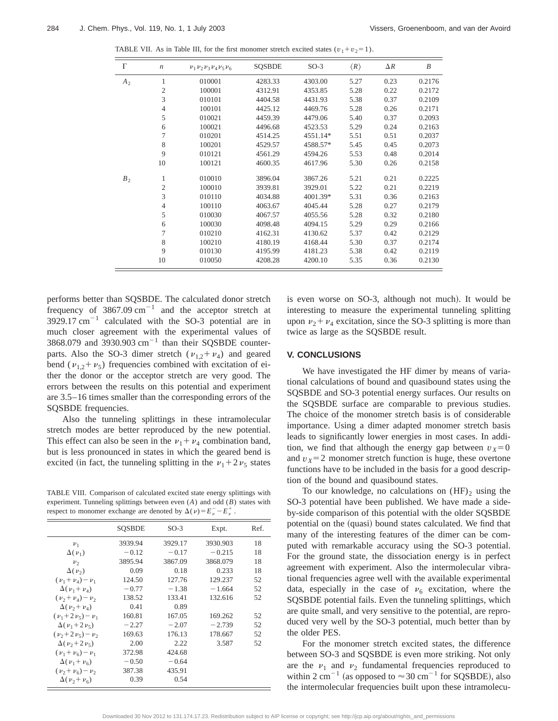TABLE VII. As in Table III, for the first monomer stretch excited states  $(v_1 + v_2) = 1$ .

| $\Gamma$ | $\boldsymbol{n}$ | $\nu_1 \nu_2 \nu_3 \nu_4 \nu_5 \nu_6$ | <b>SQSBDE</b> | $SO-3$   | $\langle R \rangle$ | $\Delta R$ | $\boldsymbol{B}$ |
|----------|------------------|---------------------------------------|---------------|----------|---------------------|------------|------------------|
| $A_2$    | 1                | 010001                                | 4283.33       | 4303.00  | 5.27                | 0.23       | 0.2176           |
|          | $\sqrt{2}$       | 100001                                | 4312.91       | 4353.85  | 5.28                | 0.22       | 0.2172           |
|          | 3                | 010101                                | 4404.58       | 4431.93  | 5.38                | 0.37       | 0.2109           |
|          | $\overline{4}$   | 100101                                | 4425.12       | 4469.76  | 5.28                | 0.26       | 0.2171           |
|          | 5                | 010021                                | 4459.39       | 4479.06  | 5.40                | 0.37       | 0.2093           |
|          | 6                | 100021                                | 4496.68       | 4523.53  | 5.29                | 0.24       | 0.2163           |
|          | 7                | 010201                                | 4514.25       | 4551.14* | 5.51                | 0.51       | 0.2037           |
|          | 8                | 100201                                | 4529.57       | 4588.57* | 5.45                | 0.45       | 0.2073           |
|          | 9                | 010121                                | 4561.29       | 4594.26  | 5.53                | 0.48       | 0.2014           |
|          | 10               | 100121                                | 4600.35       | 4617.96  | 5.30                | 0.26       | 0.2158           |
| $B_2$    | 1                | 010010                                | 3896.04       | 3867.26  | 5.21                | 0.21       | 0.2225           |
|          | $\overline{2}$   | 100010                                | 3939.81       | 3929.01  | 5.22                | 0.21       | 0.2219           |
|          | 3                | 010110                                | 4034.88       | 4001.39* | 5.31                | 0.36       | 0.2163           |
|          | $\overline{4}$   | 100110                                | 4063.67       | 4045.44  | 5.28                | 0.27       | 0.2179           |
|          | 5                | 010030                                | 4067.57       | 4055.56  | 5.28                | 0.32       | 0.2180           |
|          | 6                | 100030                                | 4098.48       | 4094.15  | 5.29                | 0.29       | 0.2166           |
|          | 7                | 010210                                | 4162.31       | 4130.62  | 5.37                | 0.42       | 0.2129           |
|          | 8                | 100210                                | 4180.19       | 4168.44  | 5.30                | 0.37       | 0.2174           |
|          | 9                | 010130                                | 4195.99       | 4181.23  | 5.38                | 0.42       | 0.2119           |
|          | 10               | 010050                                | 4208.28       | 4200.10  | 5.35                | 0.36       | 0.2130           |

performs better than SQSBDE. The calculated donor stretch frequency of  $3867.09 \text{ cm}^{-1}$  and the acceptor stretch at  $3929.17 \text{ cm}^{-1}$  calculated with the SO-3 potential are in much closer agreement with the experimental values of 3868.079 and 3930.903  $cm^{-1}$  than their SQSBDE counterparts. Also the SO-3 dimer stretch ( $v_{1,2}+v_4$ ) and geared bend ( $v_{1,2}+v_5$ ) frequencies combined with excitation of either the donor or the acceptor stretch are very good. The errors between the results on this potential and experiment are 3.5–16 times smaller than the corresponding errors of the SQSBDE frequencies.

Also the tunneling splittings in these intramolecular stretch modes are better reproduced by the new potential. This effect can also be seen in the  $\nu_1 + \nu_4$  combination band, but is less pronounced in states in which the geared bend is excited (in fact, the tunneling splitting in the  $v_1 + 2v_5$  states

TABLE VIII. Comparison of calculated excited state energy splittings with experiment. Tunneling splittings between even (*A*) and odd (*B*) states with respect to monomer exchange are denoted by  $\Delta(\nu) = E_{\nu}^- - E_{\nu}^+$ .

|                             | <b>SOSBDE</b> | $SO-3$  | Expt.    | Ref. |
|-----------------------------|---------------|---------|----------|------|
| $\nu_1$                     | 3939.94       | 3929.17 | 3930.903 | 18   |
| $\Delta(\nu_1)$             | $-0.12$       | $-0.17$ | $-0.215$ | 18   |
| $\nu_{2}$                   | 3895.94       | 3867.09 | 3868.079 | 18   |
| $\Delta(\nu_{2})$           | 0.09          | 0.18    | 0.233    | 18   |
| $(\nu_1+\nu_4)-\nu_1$       | 124.50        | 127.76  | 129.237  | 52   |
| $\Delta(\nu_1+\nu_4)$       | $-0.77$       | $-1.38$ | $-1.664$ | 52   |
| $(\nu_{2}+\nu_{4})-\nu_{2}$ | 138.52        | 133.41  | 132.616  | 52   |
| $\Delta(\nu_2+\nu_4)$       | 0.41          | 0.89    |          |      |
| $(\nu_1 + 2 \nu_5) - \nu_1$ | 160.81        | 167.05  | 169.262  | 52   |
| $\Delta(\nu_1+2\nu_5)$      | $-2.27$       | $-2.07$ | $-2.739$ | 52   |
| $(\nu_2 + 2 \nu_5) - \nu_2$ | 169.63        | 176.13  | 178.667  | 52   |
| $\Delta(\nu_2+2\nu_5)$      | 2.00          | 2.22    | 3.587    | 52   |
| $(\nu_1+\nu_6)-\nu_1$       | 372.98        | 424.68  |          |      |
| $\Delta(\nu_1+\nu_6)$       | $-0.50$       | $-0.64$ |          |      |
| $(\nu_2+\nu_6)-\nu_2$       | 387.38        | 435.91  |          |      |
| $\Delta(\nu_2+\nu_6)$       | 0.39          | 0.54    |          |      |

is even worse on SO-3, although not much). It would be interesting to measure the experimental tunneling splitting upon  $\nu_2 + \nu_4$  excitation, since the SO-3 splitting is more than twice as large as the SQSBDE result.

#### **V. CONCLUSIONS**

We have investigated the HF dimer by means of variational calculations of bound and quasibound states using the SQSBDE and SO-3 potential energy surfaces. Our results on the SQSBDE surface are comparable to previous studies. The choice of the monomer stretch basis is of considerable importance. Using a dimer adapted monomer stretch basis leads to significantly lower energies in most cases. In addition, we find that although the energy gap between  $v<sub>X</sub>=0$ and  $v_x = 2$  monomer stretch function is huge, these overtone functions have to be included in the basis for a good description of the bound and quasibound states.

To our knowledge, no calculations on  $(HF)_2$  using the SO-3 potential have been published. We have made a sideby-side comparison of this potential with the older SQSBDE potential on the (quasi) bound states calculated. We find that many of the interesting features of the dimer can be computed with remarkable accuracy using the SO-3 potential. For the ground state, the dissociation energy is in perfect agreement with experiment. Also the intermolecular vibrational frequencies agree well with the available experimental data, especially in the case of  $v_6$  excitation, where the SQSBDE potential fails. Even the tunneling splittings, which are quite small, and very sensitive to the potential, are reproduced very well by the SO-3 potential, much better than by the older PES.

For the monomer stretch excited states, the difference between SO-3 and SQSBDE is even more striking. Not only are the  $v_1$  and  $v_2$  fundamental frequencies reproduced to within 2 cm<sup>-1</sup> (as opposed to  $\approx$  30 cm<sup>-1</sup> for SQSBDE), also the intermolecular frequencies built upon these intramolecu